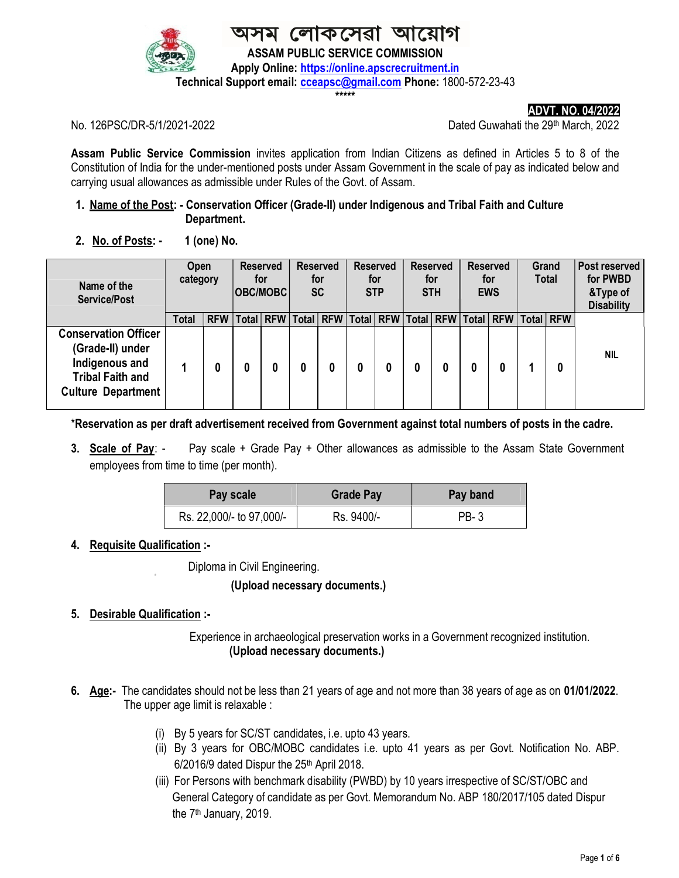

।কসেৱা আ ASSAM PUBLIC SERVICE COMMISSION Apply Online: https://online.apscrecruitment.in

Technical Support email: **cceapsc@gmail.com** Phone: 1800-572-23-43

\*\*\*\*\*

ADVT. NO. 04/2022

No. 126PSC/DR-5/1/2021-2022 Dated Guwahati the 29th March, 2022

Assam Public Service Commission invites application from Indian Citizens as defined in Articles 5 to 8 of the Constitution of India for the under-mentioned posts under Assam Government in the scale of pay as indicated below and carrying usual allowances as admissible under Rules of the Govt. of Assam.

## 1. Name of the Post: - Conservation Officer (Grade-II) under Indigenous and Tribal Faith and Culture Department.

2. No. of Posts:  $-1$  (one) No.

| Name of the<br><b>Service/Post</b>                                                                                        | <b>Open</b><br>category |            | <b>Reserved</b><br>for<br>OBC/MOBC |           | <b>Reserved</b><br>for<br><b>SC</b> |                                                 | <b>Reserved</b><br>for<br><b>STP</b> |   | <b>Reserved</b><br>for<br><b>STH</b> |  | <b>Reserved</b><br>for<br><b>EWS</b> |  | Grand<br><b>Total</b> |   | Post reserved<br>for PWBD<br>&Type of<br><b>Disability</b> |
|---------------------------------------------------------------------------------------------------------------------------|-------------------------|------------|------------------------------------|-----------|-------------------------------------|-------------------------------------------------|--------------------------------------|---|--------------------------------------|--|--------------------------------------|--|-----------------------|---|------------------------------------------------------------|
|                                                                                                                           | Total                   | <b>RFW</b> |                                    | Total RFW |                                     | Total   RFW   Total   RFW   Total   RFW   Total |                                      |   |                                      |  |                                      |  | <b>RFW Total RFW</b>  |   |                                                            |
| <b>Conservation Officer</b><br>(Grade-II) under<br>Indigenous and<br><b>Tribal Faith and</b><br><b>Culture Department</b> |                         | 0          |                                    | 0         |                                     |                                                 |                                      | 0 | 0                                    |  |                                      |  |                       | 0 | <b>NIL</b>                                                 |

\*Reservation as per draft advertisement received from Government against total numbers of posts in the cadre.

3. Scale of Pay: - Pay scale + Grade Pay + Other allowances as admissible to the Assam State Government employees from time to time (per month).

| Pay scale                | <b>Grade Pay</b> | Pay band |  |  |  |
|--------------------------|------------------|----------|--|--|--|
| Rs. 22,000/- to 97,000/- | Rs. 9400/-       | PB-3     |  |  |  |

### 4. Requisite Qualification :-

Diploma in Civil Engineering.

### (Upload necessary documents.)

#### 5. Desirable Qualification :-Ξ

 Experience in archaeological preservation works in a Government recognized institution. (Upload necessary documents.)

- 6. Age:- The candidates should not be less than 21 years of age and not more than 38 years of age as on 01/01/2022. The upper age limit is relaxable :
	- (i) By 5 years for SC/ST candidates, i.e. upto 43 years.
	- (ii) By 3 years for OBC/MOBC candidates i.e. upto 41 years as per Govt. Notification No. ABP. 6/2016/9 dated Dispur the 25th April 2018.
	- (iii) For Persons with benchmark disability (PWBD) by 10 years irrespective of SC/ST/OBC and General Category of candidate as per Govt. Memorandum No. ABP 180/2017/105 dated Dispur the 7<sup>th</sup> January, 2019.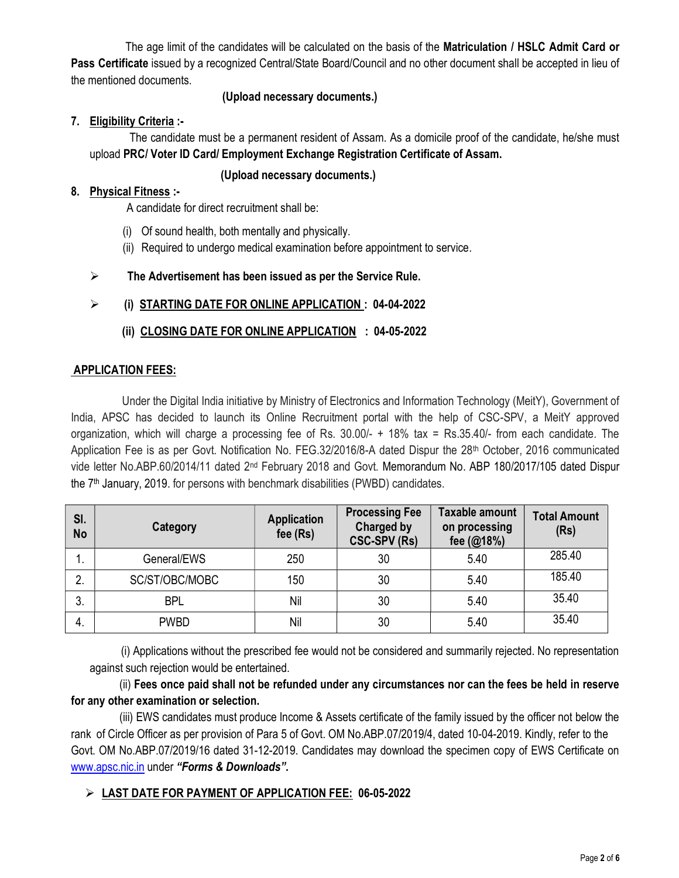The age limit of the candidates will be calculated on the basis of the **Matriculation / HSLC Admit Card or** Pass Certificate issued by a recognized Central/State Board/Council and no other document shall be accepted in lieu of the mentioned documents.

## (Upload necessary documents.)

## 7. Eligibility Criteria :-

 The candidate must be a permanent resident of Assam. As a domicile proof of the candidate, he/she must upload PRC/ Voter ID Card/ Employment Exchange Registration Certificate of Assam.

## (Upload necessary documents.)

## 8. Physical Fitness :-

A candidate for direct recruitment shall be:

- (i) Of sound health, both mentally and physically.
- (ii) Required to undergo medical examination before appointment to service.

## $\triangleright$  The Advertisement has been issued as per the Service Rule.

## (i) STARTING DATE FOR ONLINE APPLICATION : 04-04-2022

## (ii) CLOSING DATE FOR ONLINE APPLICATION : 04-05-2022

## APPLICATION FEES:

 Under the Digital India initiative by Ministry of Electronics and Information Technology (MeitY), Government of India, APSC has decided to launch its Online Recruitment portal with the help of CSC-SPV, a MeitY approved organization, which will charge a processing fee of Rs. 30.00/- + 18% tax = Rs.35.40/- from each candidate. The Application Fee is as per Govt. Notification No. FEG.32/2016/8-A dated Dispur the 28<sup>th</sup> October, 2016 communicated vide letter No.ABP.60/2014/11 dated 2nd February 2018 and Govt. Memorandum No. ABP 180/2017/105 dated Dispur the 7th January, 2019. for persons with benchmark disabilities (PWBD) candidates.

| SI.<br><b>No</b> | Category       | <b>Application</b><br>fee $(Rs)$ | <b>Processing Fee</b><br><b>Charged by</b><br><b>CSC-SPV (Rs)</b> | <b>Taxable amount</b><br>on processing<br>fee (@18%) | <b>Total Amount</b><br>(Rs) |
|------------------|----------------|----------------------------------|-------------------------------------------------------------------|------------------------------------------------------|-----------------------------|
|                  | General/EWS    | 250                              | 30                                                                | 5.40                                                 | 285.40                      |
| 2.               | SC/ST/OBC/MOBC | 150                              | 30                                                                | 5.40                                                 | 185.40                      |
| 3.               | <b>BPL</b>     | Nil                              | 30                                                                | 5.40                                                 | 35.40                       |
| 4.               | <b>PWBD</b>    | Nil                              | 30                                                                | 5.40                                                 | 35.40                       |
|                  |                |                                  |                                                                   |                                                      |                             |

 (i) Applications without the prescribed fee would not be considered and summarily rejected. No representation against such rejection would be entertained.

 (ii) Fees once paid shall not be refunded under any circumstances nor can the fees be held in reserve for any other examination or selection.

 (iii) EWS candidates must produce Income & Assets certificate of the family issued by the officer not below the rank of Circle Officer as per provision of Para 5 of Govt. OM No.ABP.07/2019/4, dated 10-04-2019. Kindly, refer to the Govt. OM No.ABP.07/2019/16 dated 31-12-2019. Candidates may download the specimen copy of EWS Certificate on www.apsc.nic.in under "Forms & Downloads".

# LAST DATE FOR PAYMENT OF APPLICATION FEE: 06-05-2022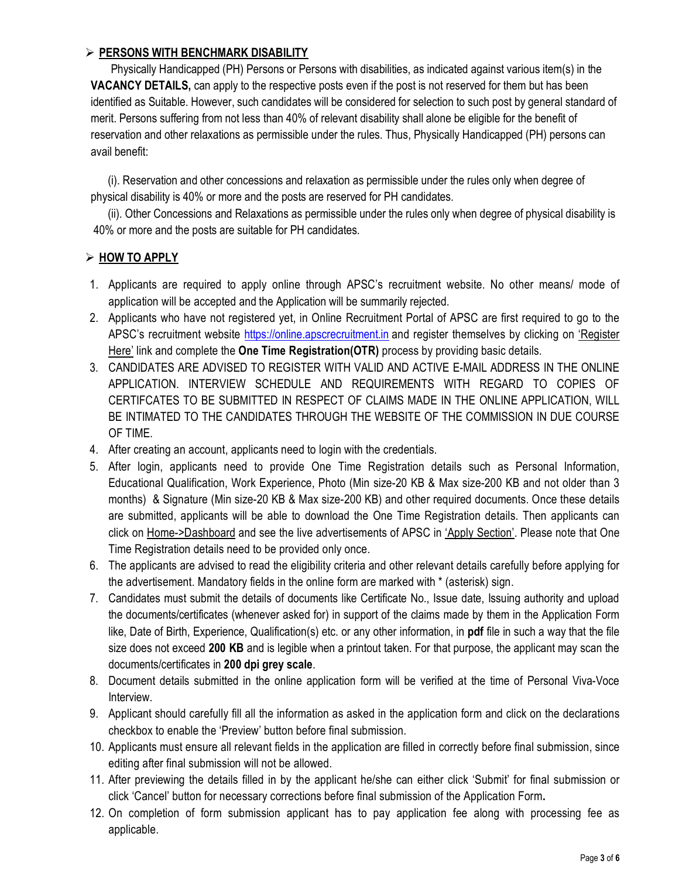## > PERSONS WITH BENCHMARK DISABILITY

 Physically Handicapped (PH) Persons or Persons with disabilities, as indicated against various item(s) in the VACANCY DETAILS, can apply to the respective posts even if the post is not reserved for them but has been identified as Suitable. However, such candidates will be considered for selection to such post by general standard of merit. Persons suffering from not less than 40% of relevant disability shall alone be eligible for the benefit of reservation and other relaxations as permissible under the rules. Thus, Physically Handicapped (PH) persons can avail benefit:

 (i). Reservation and other concessions and relaxation as permissible under the rules only when degree of physical disability is 40% or more and the posts are reserved for PH candidates.

 (ii). Other Concessions and Relaxations as permissible under the rules only when degree of physical disability is 40% or more and the posts are suitable for PH candidates.

## $\triangleright$  HOW TO APPLY

- 1. Applicants are required to apply online through APSC's recruitment website. No other means/ mode of application will be accepted and the Application will be summarily rejected.
- 2. Applicants who have not registered yet, in Online Recruitment Portal of APSC are first required to go to the APSC's recruitment website https://online.apscrecruitment.in and register themselves by clicking on 'Register Here' link and complete the **One Time Registration(OTR)** process by providing basic details.
- 3. CANDIDATES ARE ADVISED TO REGISTER WITH VALID AND ACTIVE E-MAIL ADDRESS IN THE ONLINE APPLICATION. INTERVIEW SCHEDULE AND REQUIREMENTS WITH REGARD TO COPIES OF CERTIFCATES TO BE SUBMITTED IN RESPECT OF CLAIMS MADE IN THE ONLINE APPLICATION, WILL BE INTIMATED TO THE CANDIDATES THROUGH THE WEBSITE OF THE COMMISSION IN DUE COURSE OF TIME.
- 4. After creating an account, applicants need to login with the credentials.
- 5. After login, applicants need to provide One Time Registration details such as Personal Information, Educational Qualification, Work Experience, Photo (Min size-20 KB & Max size-200 KB and not older than 3 months) & Signature (Min size-20 KB & Max size-200 KB) and other required documents. Once these details are submitted, applicants will be able to download the One Time Registration details. Then applicants can click on Home->Dashboard and see the live advertisements of APSC in 'Apply Section'. Please note that One Time Registration details need to be provided only once.
- 6. The applicants are advised to read the eligibility criteria and other relevant details carefully before applying for the advertisement. Mandatory fields in the online form are marked with \* (asterisk) sign.
- 7. Candidates must submit the details of documents like Certificate No., Issue date, Issuing authority and upload the documents/certificates (whenever asked for) in support of the claims made by them in the Application Form like, Date of Birth, Experience, Qualification(s) etc. or any other information, in pdf file in such a way that the file size does not exceed 200 KB and is legible when a printout taken. For that purpose, the applicant may scan the documents/certificates in 200 dpi grey scale.
- 8. Document details submitted in the online application form will be verified at the time of Personal Viva-Voce Interview.
- 9. Applicant should carefully fill all the information as asked in the application form and click on the declarations checkbox to enable the 'Preview' button before final submission.
- 10. Applicants must ensure all relevant fields in the application are filled in correctly before final submission, since editing after final submission will not be allowed.
- 11. After previewing the details filled in by the applicant he/she can either click 'Submit' for final submission or click 'Cancel' button for necessary corrections before final submission of the Application Form.
- 12. On completion of form submission applicant has to pay application fee along with processing fee as applicable.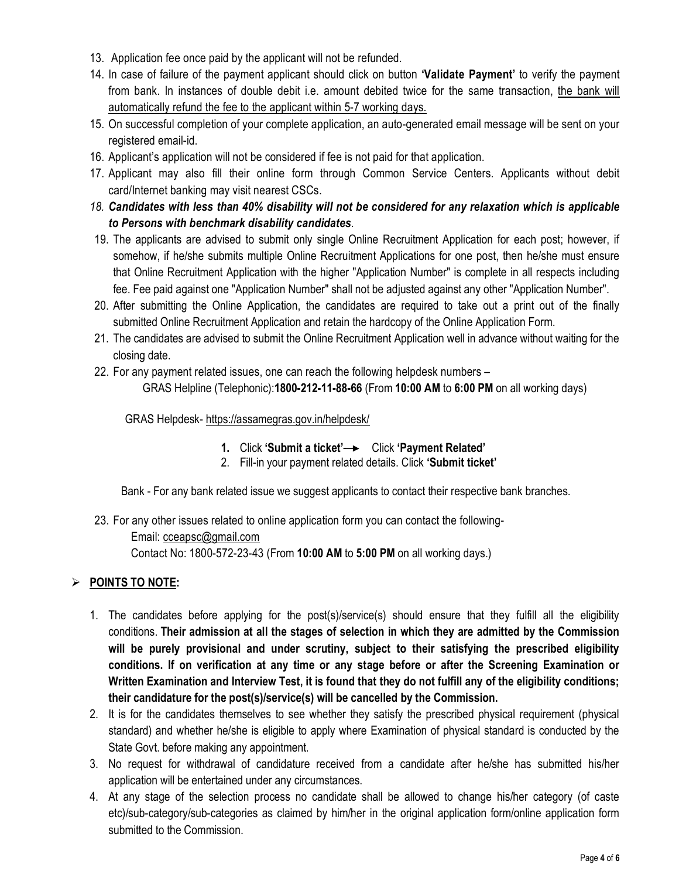- 13. Application fee once paid by the applicant will not be refunded.
- 14. In case of failure of the payment applicant should click on button **'Validate Payment'** to verify the payment from bank. In instances of double debit i.e. amount debited twice for the same transaction, the bank will automatically refund the fee to the applicant within 5-7 working days.
- 15. On successful completion of your complete application, an auto-generated email message will be sent on your registered email-id.
- 16. Applicant's application will not be considered if fee is not paid for that application.
- 17. Applicant may also fill their online form through Common Service Centers. Applicants without debit card/Internet banking may visit nearest CSCs.
- 18. Candidates with less than 40% disability will not be considered for any relaxation which is applicable to Persons with benchmark disability candidates.
- 19. The applicants are advised to submit only single Online Recruitment Application for each post; however, if somehow, if he/she submits multiple Online Recruitment Applications for one post, then he/she must ensure that Online Recruitment Application with the higher "Application Number" is complete in all respects including fee. Fee paid against one "Application Number" shall not be adjusted against any other "Application Number".
- 20. After submitting the Online Application, the candidates are required to take out a print out of the finally submitted Online Recruitment Application and retain the hardcopy of the Online Application Form.
- 21. The candidates are advised to submit the Online Recruitment Application well in advance without waiting for the closing date.
- 22. For any payment related issues, one can reach the following helpdesk numbers –

GRAS Helpline (Telephonic):1800-212-11-88-66 (From 10:00 AM to 6:00 PM on all working days)

GRAS Helpdesk- https://assamegras.gov.in/helpdesk/

- 1. Click 'Submit a ticket' $\rightarrow$  Click 'Payment Related'
- 2. Fill-in your payment related details. Click 'Submit ticket'

Bank - For any bank related issue we suggest applicants to contact their respective bank branches.

23. For any other issues related to online application form you can contact the following-

 Email: cceapsc@gmail.com Contact No: 1800-572-23-43 (From 10:00 AM to 5:00 PM on all working days.)

### $\triangleright$  POINTS TO NOTE:

- 1. The candidates before applying for the post(s)/service(s) should ensure that they fulfill all the eligibility conditions. Their admission at all the stages of selection in which they are admitted by the Commission will be purely provisional and under scrutiny, subject to their satisfying the prescribed eligibility conditions. If on verification at any time or any stage before or after the Screening Examination or Written Examination and Interview Test, it is found that they do not fulfill any of the eligibility conditions; their candidature for the post(s)/service(s) will be cancelled by the Commission.
- 2. It is for the candidates themselves to see whether they satisfy the prescribed physical requirement (physical standard) and whether he/she is eligible to apply where Examination of physical standard is conducted by the State Govt. before making any appointment.
- 3. No request for withdrawal of candidature received from a candidate after he/she has submitted his/her application will be entertained under any circumstances.
- 4. At any stage of the selection process no candidate shall be allowed to change his/her category (of caste etc)/sub-category/sub-categories as claimed by him/her in the original application form/online application form submitted to the Commission.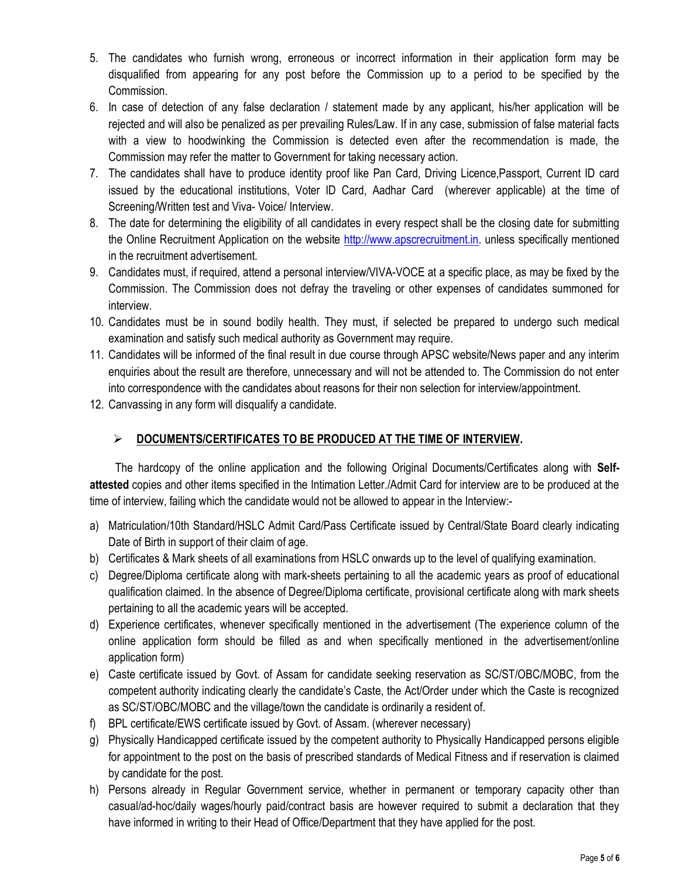- 5. The candidates who furnish wrong, erroneous or incorrect information in their application form may be disqualified from appearing for any post before the Commission up to a period to be specified by the Commission.
- 6. In case of detection of any false declaration / statement made by any applicant, his/her application will be rejected and will also be penalized as per prevailing Rules/Law. If in any case, submission of false material facts with a view to hoodwinking the Commission is detected even after the recommendation is made, the Commission may refer the matter to Government for taking necessary action.
- 7. The candidates shall have to produce identity proof like Pan Card, Driving Licence,Passport, Current ID card issued by the educational institutions, Voter ID Card, Aadhar Card (wherever applicable) at the time of Screening/Written test and Viva- Voice/ Interview.
- 8. The date for determining the eligibility of all candidates in every respect shall be the closing date for submitting the Online Recruitment Application on the website http://www.apscrecruitment.in. unless specifically mentioned in the recruitment advertisement.
- 9. Candidates must, if required, attend a personal interview/VIVA-VOCE at a specific place, as may be fixed by the Commission. The Commission does not defray the traveling or other expenses of candidates summoned for interview.
- 10. Candidates must be in sound bodily health. They must, if selected be prepared to undergo such medical examination and satisfy such medical authority as Government may require.
- 11. Candidates will be informed of the final result in due course through APSC website/News paper and any interim enquiries about the result are therefore, unnecessary and will not be attended to. The Commission do not enter into correspondence with the candidates about reasons for their non selection for interview/appointment.
- 12. Canvassing in any form will disqualify a candidate.

# $\triangleright$  DOCUMENTS/CERTIFICATES TO BE PRODUCED AT THE TIME OF INTERVIEW.

 The hardcopy of the online application and the following Original Documents/Certificates along with Selfattested copies and other items specified in the Intimation Letter./Admit Card for interview are to be produced at the time of interview, failing which the candidate would not be allowed to appear in the Interview:-

- a) Matriculation/10th Standard/HSLC Admit Card/Pass Certificate issued by Central/State Board clearly indicating Date of Birth in support of their claim of age.
- b) Certificates & Mark sheets of all examinations from HSLC onwards up to the level of qualifying examination.
- c) Degree/Diploma certificate along with mark-sheets pertaining to all the academic years as proof of educational qualification claimed. In the absence of Degree/Diploma certificate, provisional certificate along with mark sheets pertaining to all the academic years will be accepted.
- d) Experience certificates, whenever specifically mentioned in the advertisement (The experience column of the online application form should be filled as and when specifically mentioned in the advertisement/online application form)
- e) Caste certificate issued by Govt. of Assam for candidate seeking reservation as SC/ST/OBC/MOBC, from the competent authority indicating clearly the candidate's Caste, the Act/Order under which the Caste is recognized as SC/ST/OBC/MOBC and the village/town the candidate is ordinarily a resident of.
- f) BPL certificate/EWS certificate issued by Govt. of Assam. (wherever necessary)
- g) Physically Handicapped certificate issued by the competent authority to Physically Handicapped persons eligible for appointment to the post on the basis of prescribed standards of Medical Fitness and if reservation is claimed by candidate for the post.
- h) Persons already in Regular Government service, whether in permanent or temporary capacity other than casual/ad-hoc/daily wages/hourly paid/contract basis are however required to submit a declaration that they have informed in writing to their Head of Office/Department that they have applied for the post.